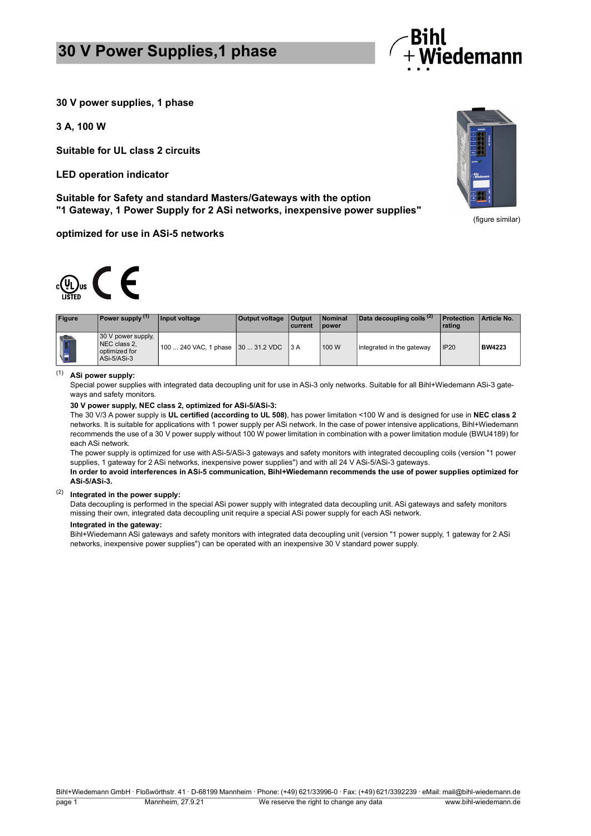## **30 V Power Supplies,1 phase**



**30 V power supplies, 1 phase**

**3 A, 100 W**

**Suitable for UL class 2 circuits**

**LED operation indicator**

**Suitable for Safety and standard Masters/Gateways with the option "1 Gateway, 1 Power Supply for 2 ASi networks, inexpensive power supplies"**

**optimized for use in ASi-5 networks**



| <b>Figure</b> | Power supply (1)                                                   | Input voltage                          | <b>Output voltage   Output</b> | current | <b>Nominal</b><br><b>I</b> power | Data decoupling coils <sup>(2)</sup> | <b>Protection</b><br>rating | Article No.   |
|---------------|--------------------------------------------------------------------|----------------------------------------|--------------------------------|---------|----------------------------------|--------------------------------------|-----------------------------|---------------|
|               | 30 V power supply,<br>NEC class 2,<br>optimized for<br>ASi-5/ASi-3 | 100  240 VAC. 1 phase 30  31.2 VDC 3 A |                                |         | 100 W                            | integrated in the gateway            | <b>IP20</b>                 | <b>BW4223</b> |

### (1) **ASi power supply:**

Special power supplies with integrated data decoupling unit for use in ASi-3 only networks. Suitable for all Bihl+Wiedemann ASi-3 gateways and safety monitors.

#### **30 V power supply, NEC class 2, optimized for ASi-5/ASi-3:**

The 30 V/3 A power supply is **UL certified (according to UL 508)**, has power limitation <100 W and is designed for use in **NEC class 2** networks. It is suitable for applications with 1 power supply per ASi network. In the case of power intensive applications, Bihl+Wiedemann recommends the use of a 30 V power supply without 100 W power limitation in combination with a power limitation module (BWU4189) for each ASi network.

The power supply is optimized for use with ASi-5/ASi-3 gateways and safety monitors with integrated decoupling coils (version "1 power supplies, 1 gateway for 2 ASi networks, inexpensive power supplies") and with all 24 V ASi-5/ASi-3 gateways.

**In order to avoid interferences in ASi-5 communication, Bihl+Wiedemann recommends the use of power supplies optimized for ASi-5/ASi-3.**

### (2) **Integrated in the power supply:**

Data decoupling is performed in the special ASi power supply with integrated data decoupling unit. ASi gateways and safety monitors missing their own, integrated data decoupling unit require a special ASi power supply for each ASi network.

#### **Integrated in the gateway:**

Bihl+Wiedemann ASi gateways and safety monitors with integrated data decoupling unit (version "1 power supply, 1 gateway for 2 ASi networks, inexpensive power supplies") can be operated with an inexpensive 30 V standard power supply.



(figure similar)

Bihl+Wiedemann GmbH · Floßwörthstr. 41 · D-68199 Mannheim · Phone: (+49) 621/33996-0 · Fax: (+49) 621/3392239 · eMail: mail@bihl-wiedemann.de page 1 Mannheim, 27.9.21 We reserve the right to change any data www.bihl-wiedemann.de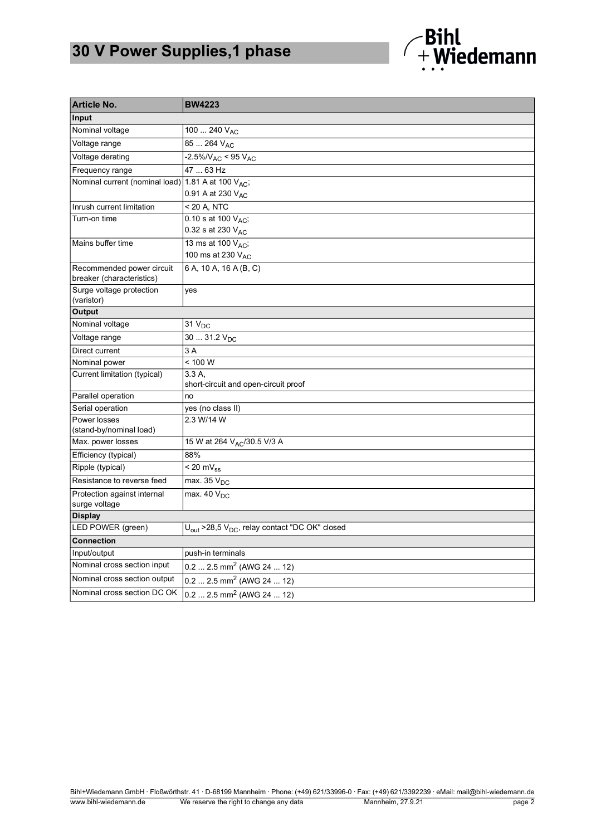# **30 V Power Supplies,1 phase**



| <b>Article No.</b>                                     | <b>BW4223</b>                                                         |  |
|--------------------------------------------------------|-----------------------------------------------------------------------|--|
| Input                                                  |                                                                       |  |
| Nominal voltage                                        | 100  240 $V_{AC}$                                                     |  |
| Voltage range                                          | 85  264 V <sub>AC</sub>                                               |  |
| Voltage derating                                       | $-2.5\%N_{AC}$ < 95 V <sub>AC</sub>                                   |  |
| Frequency range                                        | 47  63 Hz                                                             |  |
| Nominal current (nominal load) 1.81 A at 100 VAC;      |                                                                       |  |
|                                                        | 0.91 A at 230 VAC                                                     |  |
| Inrush current limitation                              | < 20 A, NTC                                                           |  |
| Turn-on time                                           | 0.10 s at 100 $V_{AC}$ ,                                              |  |
|                                                        | 0.32 s at 230 VAC                                                     |  |
| Mains buffer time                                      | 13 ms at 100 V <sub>AC</sub> ;                                        |  |
|                                                        | 100 ms at 230 V <sub>AC</sub>                                         |  |
| Recommended power circuit<br>breaker (characteristics) | 6 A, 10 A, 16 A (B, C)                                                |  |
| Surge voltage protection<br>(varistor)                 | yes                                                                   |  |
| Output                                                 |                                                                       |  |
| Nominal voltage                                        | 31 V <sub>DC</sub>                                                    |  |
| Voltage range                                          | $3031.2 V_{DC}$                                                       |  |
| Direct current                                         | 3 A                                                                   |  |
| Nominal power                                          | < 100 W                                                               |  |
| Current limitation (typical)                           | 3.3 A.                                                                |  |
|                                                        | short-circuit and open-circuit proof                                  |  |
| Parallel operation                                     | no                                                                    |  |
| Serial operation                                       | yes (no class II)                                                     |  |
| Power losses<br>(stand-by/nominal load)                | 2.3 W/14 W                                                            |  |
| Max. power losses                                      | 15 W at 264 VAC/30.5 V/3 A                                            |  |
| Efficiency (typical)                                   | 88%                                                                   |  |
| Ripple (typical)                                       | $< 20 mV_{ss}$                                                        |  |
| Resistance to reverse feed                             | $\overline{\text{max}}$ . 35 $\text{V}_{\text{DC}}$                   |  |
| Protection against internal<br>surge voltage           | $\overline{\text{max. 40 V}}_{\text{DC}}$                             |  |
| <b>Display</b>                                         |                                                                       |  |
| LED POWER (green)                                      | $U_{\text{out}}$ >28,5 $V_{\text{DC}}$ , relay contact "DC OK" closed |  |
| <b>Connection</b>                                      |                                                                       |  |
| Input/output                                           | push-in terminals                                                     |  |
| Nominal cross section input                            | $0.2 2.5$ mm <sup>2</sup> (AWG 24  12)                                |  |
| Nominal cross section output                           | $0.22.5$ mm <sup>2</sup> (AWG 24  12)                                 |  |
| Nominal cross section DC OK                            | $0.2$ 2.5 mm <sup>2</sup> (AWG 24  12)                                |  |